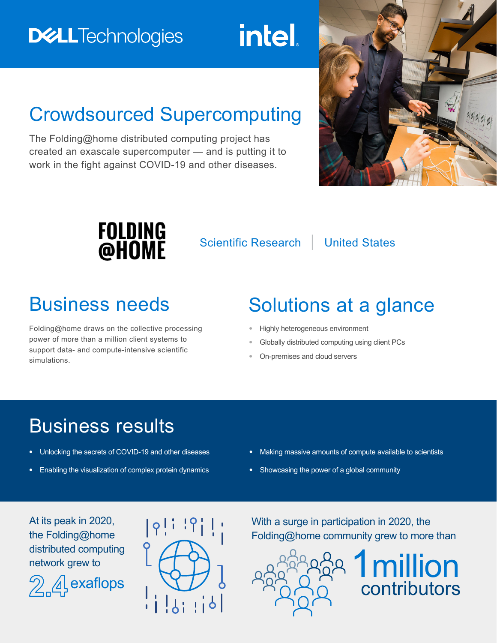# **DELLTechnologies**

**intel.** 

# Crowdsourced Supercomputing

The Folding@home distributed computing project has created an exascale supercomputer — and is putting it to work in the fight against COVID-19 and other diseases.





Scientific Research | United States

Folding@home draws on the collective processing power of more than a million client systems to support data- and compute-intensive scientific simulations.

# Business needs Solutions at a glance

- **•** Highly heterogeneous environment
- **•** Globally distributed computing using client PCs
- **•** On-premises and cloud servers

## Business results

- **•** Unlocking the secrets of COVID-19 and other diseases
- **•** Enabling the visualization of complex protein dynamics
- **•** Making massive amounts of compute available to scientists
- **•** Showcasing the power of a global community

At its peak in 2020, the Folding@home distributed computing network grew to





With a surge in participation in 2020, the Folding@home community grew to more than



**1 million**<br>contributors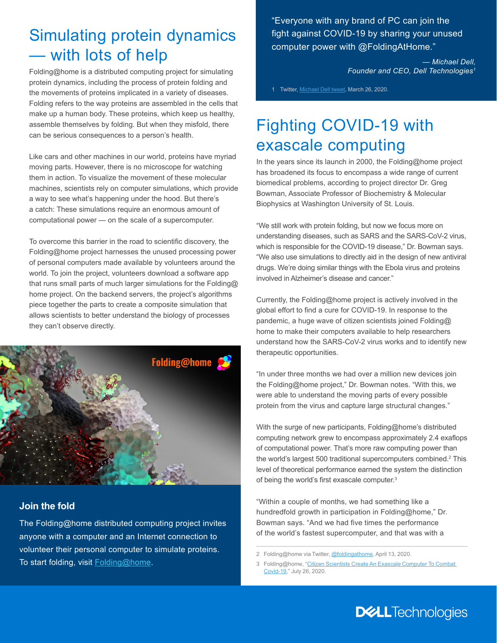### Simulating protein dynamics — with lots of help

Folding@home is a distributed computing project for simulating protein dynamics, including the process of protein folding and the movements of proteins implicated in a variety of diseases. Folding refers to the way proteins are assembled in the cells that make up a human body. These proteins, which keep us healthy, assemble themselves by folding. But when they misfold, there can be serious consequences to a person's health.

Like cars and other machines in our world, proteins have myriad moving parts. However, there is no microscope for watching them in action. To visualize the movement of these molecular machines, scientists rely on computer simulations, which provide a way to see what's happening under the hood. But there's a catch: These simulations require an enormous amount of computational power — on the scale of a supercomputer.

To overcome this barrier in the road to scientific discovery, the Folding@home project harnesses the unused processing power of personal computers made available by volunteers around the world. To join the project, volunteers download a software app that runs small parts of much larger simulations for the Folding@ home project. On the backend servers, the project's algorithms piece together the parts to create a composite simulation that allows scientists to better understand the biology of processes they can't observe directly.



#### **Join the fold**

The Folding@home distributed computing project invites anyone with a computer and an Internet connection to volunteer their personal computer to simulate proteins. To start folding, visit [Folding@home](https://foldingathome.org/home/).

"Everyone with any brand of PC can join the fight against COVID-19 by sharing your unused computer power with @FoldingAtHome."

> *— Michael Dell, Founder and CEO, Dell Technologies1*

1 Twitter, [Michael Dell tweet](https://twitter.com/michaeldell/status/1243260330509316096), March 26, 2020.

### Fighting COVID-19 with exascale computing

In the years since its launch in 2000, the Folding@home project has broadened its focus to encompass a wide range of current biomedical problems, according to project director Dr. Greg Bowman, Associate Professor of Biochemistry & Molecular Biophysics at Washington University of St. Louis.

"We still work with protein folding, but now we focus more on understanding diseases, such as SARS and the SARS-CoV-2 virus, which is responsible for the COVID-19 disease," Dr. Bowman says. "We also use simulations to directly aid in the design of new antiviral drugs. We're doing similar things with the Ebola virus and proteins involved in Alzheimer's disease and cancer."

Currently, the Folding@home project is actively involved in the global effort to find a cure for COVID-19. In response to the pandemic, a huge wave of citizen scientists joined Folding@ home to make their computers available to help researchers understand how the SARS-CoV-2 virus works and to identify new therapeutic opportunities.

"In under three months we had over a million new devices join the Folding@home project," Dr. Bowman notes. "With this, we were able to understand the moving parts of every possible protein from the virus and capture large structural changes."

With the surge of new participants, Folding@home's distributed computing network grew to encompass approximately 2.4 exaflops of computational power. That's more raw computing power than the world's largest 500 traditional supercomputers combined.<sup>2</sup> This level of theoretical performance earned the system the distinction of being the world's first exascale computer.<sup>3</sup>

"Within a couple of months, we had something like a hundredfold growth in participation in Folding@home," Dr. Bowman says. "And we had five times the performance of the world's fastest supercomputer, and that was with a

2 Folding@home via Twitter, [@foldingathome,](https://twitter.com/foldingathome/status/1249778379634675712) April 13, 2020.

3 Folding@home, "Citizen Scientists Create An Exascale Computer To Combat [Covid-19](https://foldingathome.org/2020/07/26/citizen-scientists-create-an-exascale-computer-to-combat-covid-19/)," July 26, 2020.